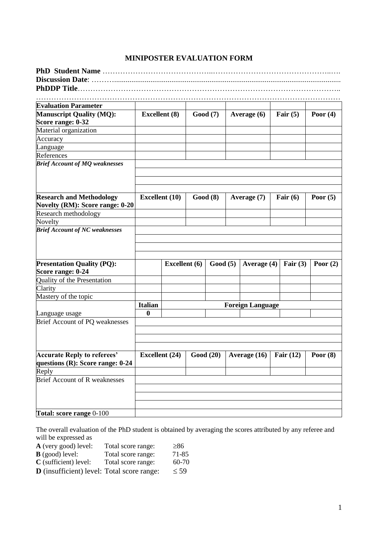## **MINIPOSTER EVALUATION FORM**

…………………………………………………………………………………………………………

| <b>Evaluation Parameter</b>                                            |                       |                      |          |          |                         |             |            |
|------------------------------------------------------------------------|-----------------------|----------------------|----------|----------|-------------------------|-------------|------------|
| <b>Manuscript Quality (MQ):</b><br>Score range: 0-32                   | <b>Excellent</b> (8)  |                      |          | Good (7) | Average $(6)$           | Fair $(5)$  | Poor $(4)$ |
| Material organization                                                  |                       |                      |          |          |                         |             |            |
| Accuracy                                                               |                       |                      |          |          |                         |             |            |
| Language                                                               |                       |                      |          |          |                         |             |            |
| References                                                             |                       |                      |          |          |                         |             |            |
| <b>Brief Account of MQ weaknesses</b>                                  |                       |                      |          |          |                         |             |            |
|                                                                        |                       |                      |          |          |                         |             |            |
|                                                                        |                       |                      |          |          |                         |             |            |
| <b>Research and Methodology</b>                                        | <b>Excellent</b> (10) |                      |          | Good(8)  | Average (7)             | Fair $(6)$  | Poor $(5)$ |
| Novelty (RM): Score range: 0-20                                        |                       |                      |          |          |                         |             |            |
| Research methodology                                                   |                       |                      |          |          |                         |             |            |
| Novelty                                                                |                       |                      |          |          |                         |             |            |
| <b>Brief Account of NC weaknesses</b>                                  |                       |                      |          |          |                         |             |            |
|                                                                        |                       |                      |          |          |                         |             |            |
|                                                                        |                       |                      |          |          |                         |             |            |
|                                                                        |                       |                      |          |          |                         |             |            |
| <b>Presentation Quality (PQ):</b><br>Score range: 0-24                 |                       | <b>Excellent</b> (6) |          | Good(5)  | Average (4)             | Fair $(3)$  | Poor $(2)$ |
| Quality of the Presentation                                            |                       |                      |          |          |                         |             |            |
| Clarity                                                                |                       |                      |          |          |                         |             |            |
| Mastery of the topic                                                   |                       |                      |          |          |                         |             |            |
|                                                                        | Italian               |                      |          |          | <b>Foreign Language</b> |             |            |
| Language usage                                                         | 0                     |                      |          |          |                         |             |            |
| Brief Account of PQ weaknesses                                         |                       |                      |          |          |                         |             |            |
|                                                                        |                       |                      |          |          |                         |             |            |
|                                                                        |                       |                      |          |          |                         |             |            |
|                                                                        |                       |                      |          |          |                         |             |            |
| <b>Accurate Reply to referees'</b><br>questions (R): Score range: 0-24 | <b>Excellent</b> (24) |                      | Good(20) |          | Average (16)            | Fair $(12)$ | Poor $(8)$ |
| Reply                                                                  |                       |                      |          |          |                         |             |            |
| <b>Brief Account of R weaknesses</b>                                   |                       |                      |          |          |                         |             |            |
|                                                                        |                       |                      |          |          |                         |             |            |
|                                                                        |                       |                      |          |          |                         |             |            |
|                                                                        |                       |                      |          |          |                         |             |            |
| <b>Total: score range 0-100</b>                                        |                       |                      |          |          |                         |             |            |

The overall evaluation of the PhD student is obtained by averaging the scores attributed by any referee and will be expressed as

| <b>A</b> (very good) level:                       | Total score range: | $\geq 86$ |
|---------------------------------------------------|--------------------|-----------|
| $\bf{B}$ (good) level:                            | Total score range: | 71-85     |
| $C$ (sufficient) level:                           | Total score range: | 60-70     |
| D <i>(incufficient)</i> level: Total seems report |                    | $\geq$ 50 |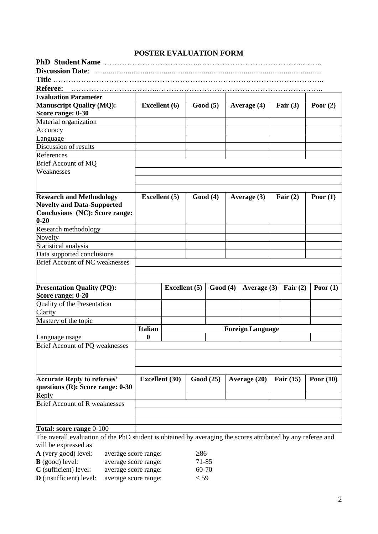|  | <b>POSTER EVALUATION FORM</b> |
|--|-------------------------------|
|--|-------------------------------|

| <b>Discussion Date:</b>                                                                                     |                       |                      |           |                         |             |             |
|-------------------------------------------------------------------------------------------------------------|-----------------------|----------------------|-----------|-------------------------|-------------|-------------|
|                                                                                                             |                       |                      |           |                         |             |             |
| <b>Referee:</b>                                                                                             |                       |                      |           |                         |             |             |
| <b>Evaluation Parameter</b>                                                                                 |                       |                      |           |                         |             |             |
| <b>Manuscript Quality (MQ):</b>                                                                             | <b>Excellent</b> (6)  |                      | Good(5)   | Average (4)             | Fair $(3)$  | Poor $(2)$  |
| Score range: 0-30                                                                                           |                       |                      |           |                         |             |             |
| Material organization                                                                                       |                       |                      |           |                         |             |             |
| Accuracy                                                                                                    |                       |                      |           |                         |             |             |
| Language                                                                                                    |                       |                      |           |                         |             |             |
| Discussion of results                                                                                       |                       |                      |           |                         |             |             |
| References                                                                                                  |                       |                      |           |                         |             |             |
| Brief Account of MQ                                                                                         |                       |                      |           |                         |             |             |
| Weaknesses                                                                                                  |                       |                      |           |                         |             |             |
|                                                                                                             |                       |                      |           |                         |             |             |
|                                                                                                             |                       |                      |           |                         |             |             |
| <b>Research and Methodology</b>                                                                             | <b>Excellent</b> (5)  |                      | Good(4)   | Average $(3)$           | Fair $(2)$  | Poor $(1)$  |
| <b>Novelty and Data-Supported</b>                                                                           |                       |                      |           |                         |             |             |
| Conclusions (NC): Score range:                                                                              |                       |                      |           |                         |             |             |
| $0 - 20$                                                                                                    |                       |                      |           |                         |             |             |
| Research methodology                                                                                        |                       |                      |           |                         |             |             |
| Novelty                                                                                                     |                       |                      |           |                         |             |             |
| Statistical analysis                                                                                        |                       |                      |           |                         |             |             |
| Data supported conclusions                                                                                  |                       |                      |           |                         |             |             |
| <b>Brief Account of NC weaknesses</b>                                                                       |                       |                      |           |                         |             |             |
|                                                                                                             |                       |                      |           |                         |             |             |
|                                                                                                             |                       |                      |           |                         |             |             |
| <b>Presentation Quality (PQ):</b>                                                                           |                       | <b>Excellent</b> (5) | Good(4)   | Average (3)             | Fair $(2)$  | Poor $(1)$  |
| Score range: 0-20                                                                                           |                       |                      |           |                         |             |             |
| Quality of the Presentation                                                                                 |                       |                      |           |                         |             |             |
| Clarity                                                                                                     |                       |                      |           |                         |             |             |
| Mastery of the topic                                                                                        |                       |                      |           |                         |             |             |
|                                                                                                             | <b>Italian</b>        |                      |           | <b>Foreign Language</b> |             |             |
| Language usage                                                                                              | $\bf{0}$              |                      |           |                         |             |             |
| Brief Account of PQ weaknesses                                                                              |                       |                      |           |                         |             |             |
|                                                                                                             |                       |                      |           |                         |             |             |
|                                                                                                             |                       |                      |           |                         |             |             |
|                                                                                                             |                       |                      |           |                         |             |             |
| <b>Accurate Reply to referees'</b>                                                                          | <b>Excellent</b> (30) |                      | Good (25) | Average $(20)$          | Fair $(15)$ | Poor $(10)$ |
| questions $(R)$ : Score range: 0-30                                                                         |                       |                      |           |                         |             |             |
| Reply                                                                                                       |                       |                      |           |                         |             |             |
| <b>Brief Account of R weaknesses</b>                                                                        |                       |                      |           |                         |             |             |
|                                                                                                             |                       |                      |           |                         |             |             |
|                                                                                                             |                       |                      |           |                         |             |             |
| <b>Total: score range 0-100</b>                                                                             |                       |                      |           |                         |             |             |
| The overall evaluation of the PhD student is obtained by averaging the scores attributed by any referee and |                       |                      |           |                         |             |             |

The overall evaluation of the PhD student is obtained by averaging the scores attributed by any referee and will be expressed as

| <b>A</b> (very good) level:    | average score range: | $\geq 86$ |
|--------------------------------|----------------------|-----------|
| $\bf{B}$ (good) level:         | average score range: | 71-85     |
| $C$ (sufficient) level:        | average score range: | 60-70     |
| <b>D</b> (insufficient) level: | average score range: | $\leq 59$ |
|                                |                      |           |